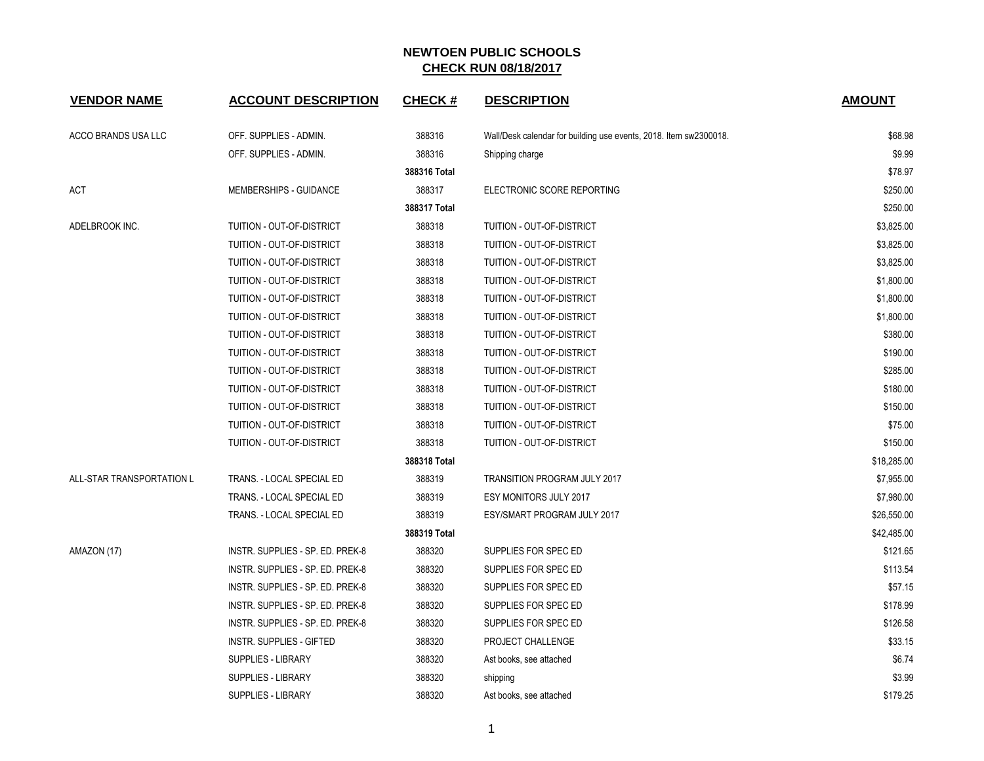| <b>VENDOR NAME</b>        | <b>ACCOUNT DESCRIPTION</b>       | <b>CHECK#</b> | <b>DESCRIPTION</b>                                                | <b>AMOUNT</b> |
|---------------------------|----------------------------------|---------------|-------------------------------------------------------------------|---------------|
| ACCO BRANDS USA LLC       | OFF. SUPPLIES - ADMIN.           | 388316        | Wall/Desk calendar for building use events, 2018. Item sw2300018. | \$68.98       |
|                           | OFF. SUPPLIES - ADMIN.           | 388316        | Shipping charge                                                   | \$9.99        |
|                           |                                  | 388316 Total  |                                                                   | \$78.97       |
| ACT                       | <b>MEMBERSHIPS - GUIDANCE</b>    | 388317        | ELECTRONIC SCORE REPORTING                                        | \$250.00      |
|                           |                                  | 388317 Total  |                                                                   | \$250.00      |
| ADELBROOK INC.            | TUITION - OUT-OF-DISTRICT        | 388318        | TUITION - OUT-OF-DISTRICT                                         | \$3,825.00    |
|                           | TUITION - OUT-OF-DISTRICT        | 388318        | TUITION - OUT-OF-DISTRICT                                         | \$3,825.00    |
|                           | TUITION - OUT-OF-DISTRICT        | 388318        | TUITION - OUT-OF-DISTRICT                                         | \$3,825.00    |
|                           | TUITION - OUT-OF-DISTRICT        | 388318        | TUITION - OUT-OF-DISTRICT                                         | \$1,800.00    |
|                           | TUITION - OUT-OF-DISTRICT        | 388318        | TUITION - OUT-OF-DISTRICT                                         | \$1,800.00    |
|                           | TUITION - OUT-OF-DISTRICT        | 388318        | TUITION - OUT-OF-DISTRICT                                         | \$1,800.00    |
|                           | TUITION - OUT-OF-DISTRICT        | 388318        | TUITION - OUT-OF-DISTRICT                                         | \$380.00      |
|                           | TUITION - OUT-OF-DISTRICT        | 388318        | TUITION - OUT-OF-DISTRICT                                         | \$190.00      |
|                           | TUITION - OUT-OF-DISTRICT        | 388318        | TUITION - OUT-OF-DISTRICT                                         | \$285.00      |
|                           | TUITION - OUT-OF-DISTRICT        | 388318        | TUITION - OUT-OF-DISTRICT                                         | \$180.00      |
|                           | TUITION - OUT-OF-DISTRICT        | 388318        | TUITION - OUT-OF-DISTRICT                                         | \$150.00      |
|                           | TUITION - OUT-OF-DISTRICT        | 388318        | TUITION - OUT-OF-DISTRICT                                         | \$75.00       |
|                           | TUITION - OUT-OF-DISTRICT        | 388318        | TUITION - OUT-OF-DISTRICT                                         | \$150.00      |
|                           |                                  | 388318 Total  |                                                                   | \$18,285.00   |
| ALL-STAR TRANSPORTATION L | TRANS. - LOCAL SPECIAL ED        | 388319        | TRANSITION PROGRAM JULY 2017                                      | \$7,955.00    |
|                           | TRANS. - LOCAL SPECIAL ED        | 388319        | <b>ESY MONITORS JULY 2017</b>                                     | \$7,980.00    |
|                           | TRANS. - LOCAL SPECIAL ED        | 388319        | ESY/SMART PROGRAM JULY 2017                                       | \$26,550.00   |
|                           |                                  | 388319 Total  |                                                                   | \$42,485.00   |
| AMAZON (17)               | INSTR. SUPPLIES - SP. ED. PREK-8 | 388320        | SUPPLIES FOR SPEC ED                                              | \$121.65      |
|                           | INSTR. SUPPLIES - SP. ED. PREK-8 | 388320        | SUPPLIES FOR SPEC ED                                              | \$113.54      |
|                           | INSTR. SUPPLIES - SP. ED. PREK-8 | 388320        | SUPPLIES FOR SPEC ED                                              | \$57.15       |
|                           | INSTR. SUPPLIES - SP. ED. PREK-8 | 388320        | SUPPLIES FOR SPEC ED                                              | \$178.99      |
|                           | INSTR. SUPPLIES - SP. ED. PREK-8 | 388320        | SUPPLIES FOR SPEC ED                                              | \$126.58      |
|                           | INSTR. SUPPLIES - GIFTED         | 388320        | PROJECT CHALLENGE                                                 | \$33.15       |
|                           | SUPPLIES - LIBRARY               | 388320        | Ast books, see attached                                           | \$6.74        |
|                           | SUPPLIES - LIBRARY               | 388320        | shipping                                                          | \$3.99        |
|                           | SUPPLIES - LIBRARY               | 388320        | Ast books, see attached                                           | \$179.25      |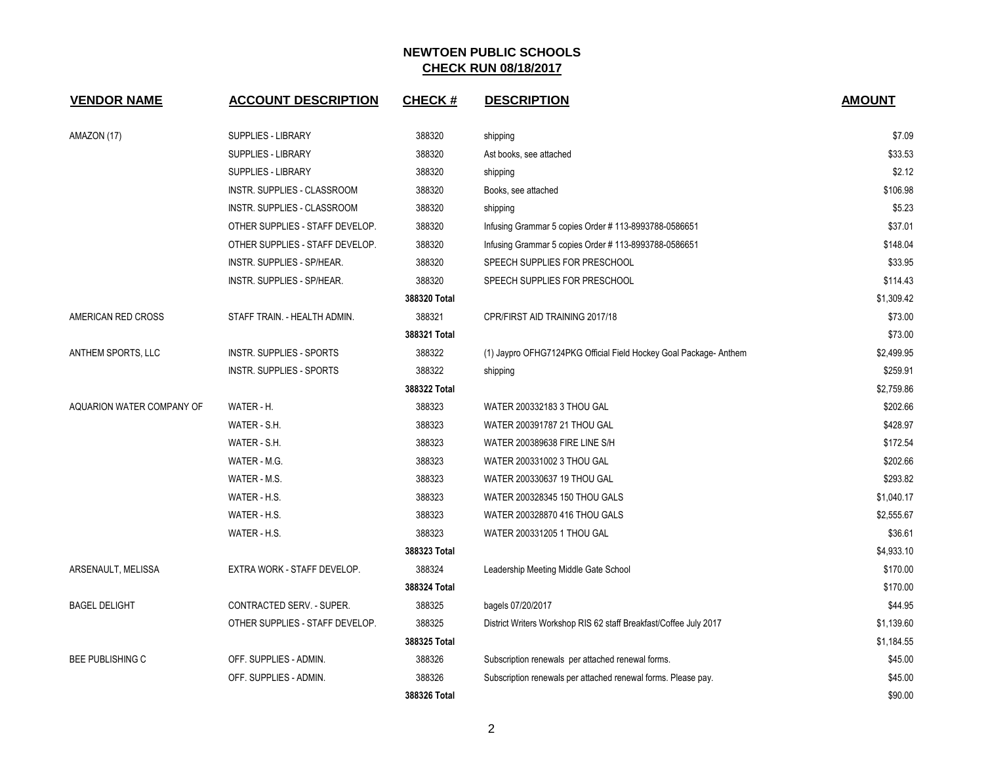| <b>VENDOR NAME</b>        | <b>ACCOUNT DESCRIPTION</b>      | <b>CHECK#</b> | <b>DESCRIPTION</b>                                                | <b>AMOUNT</b> |
|---------------------------|---------------------------------|---------------|-------------------------------------------------------------------|---------------|
| AMAZON (17)               | <b>SUPPLIES - LIBRARY</b>       | 388320        | shipping                                                          | \$7.09        |
|                           | SUPPLIES - LIBRARY              | 388320        | Ast books, see attached                                           | \$33.53       |
|                           | <b>SUPPLIES - LIBRARY</b>       | 388320        | shipping                                                          | \$2.12        |
|                           | INSTR. SUPPLIES - CLASSROOM     | 388320        | Books, see attached                                               | \$106.98      |
|                           | INSTR. SUPPLIES - CLASSROOM     | 388320        | shipping                                                          | \$5.23        |
|                           | OTHER SUPPLIES - STAFF DEVELOP. | 388320        | Infusing Grammar 5 copies Order #113-8993788-0586651              | \$37.01       |
|                           | OTHER SUPPLIES - STAFF DEVELOP. | 388320        | Infusing Grammar 5 copies Order #113-8993788-0586651              | \$148.04      |
|                           | INSTR. SUPPLIES - SP/HEAR.      | 388320        | SPEECH SUPPLIES FOR PRESCHOOL                                     | \$33.95       |
|                           | INSTR. SUPPLIES - SP/HEAR.      | 388320        | SPEECH SUPPLIES FOR PRESCHOOL                                     | \$114.43      |
|                           |                                 | 388320 Total  |                                                                   | \$1,309.42    |
| AMERICAN RED CROSS        | STAFF TRAIN. - HEALTH ADMIN.    | 388321        | CPR/FIRST AID TRAINING 2017/18                                    | \$73.00       |
|                           |                                 | 388321 Total  |                                                                   | \$73.00       |
| ANTHEM SPORTS, LLC        | <b>INSTR. SUPPLIES - SPORTS</b> | 388322        | (1) Jaypro OFHG7124PKG Official Field Hockey Goal Package-Anthem  | \$2,499.95    |
|                           | <b>INSTR. SUPPLIES - SPORTS</b> | 388322        | shipping                                                          | \$259.91      |
|                           |                                 | 388322 Total  |                                                                   | \$2,759.86    |
| AQUARION WATER COMPANY OF | WATER - H.                      | 388323        | WATER 200332183 3 THOU GAL                                        | \$202.66      |
|                           | WATER - S.H.                    | 388323        | WATER 200391787 21 THOU GAL                                       | \$428.97      |
|                           | WATER - S.H.                    | 388323        | WATER 200389638 FIRE LINE S/H                                     | \$172.54      |
|                           | WATER - M.G.                    | 388323        | WATER 200331002 3 THOU GAL                                        | \$202.66      |
|                           | WATER - M.S.                    | 388323        | WATER 200330637 19 THOU GAL                                       | \$293.82      |
|                           | WATER - H.S.                    | 388323        | WATER 200328345 150 THOU GALS                                     | \$1,040.17    |
|                           | WATER - H.S.                    | 388323        | WATER 200328870 416 THOU GALS                                     | \$2,555.67    |
|                           | WATER - H.S.                    | 388323        | WATER 200331205 1 THOU GAL                                        | \$36.61       |
|                           |                                 | 388323 Total  |                                                                   | \$4,933.10    |
| ARSENAULT, MELISSA        | EXTRA WORK - STAFF DEVELOP.     | 388324        | Leadership Meeting Middle Gate School                             | \$170.00      |
|                           |                                 | 388324 Total  |                                                                   | \$170.00      |
| <b>BAGEL DELIGHT</b>      | CONTRACTED SERV. - SUPER.       | 388325        | bagels 07/20/2017                                                 | \$44.95       |
|                           | OTHER SUPPLIES - STAFF DEVELOP. | 388325        | District Writers Workshop RIS 62 staff Breakfast/Coffee July 2017 | \$1,139.60    |
|                           |                                 | 388325 Total  |                                                                   | \$1,184.55    |
| <b>BEE PUBLISHING C</b>   | OFF. SUPPLIES - ADMIN.          | 388326        | Subscription renewals per attached renewal forms.                 | \$45.00       |
|                           | OFF. SUPPLIES - ADMIN.          | 388326        | Subscription renewals per attached renewal forms. Please pay.     | \$45.00       |
|                           |                                 | 388326 Total  |                                                                   | \$90.00       |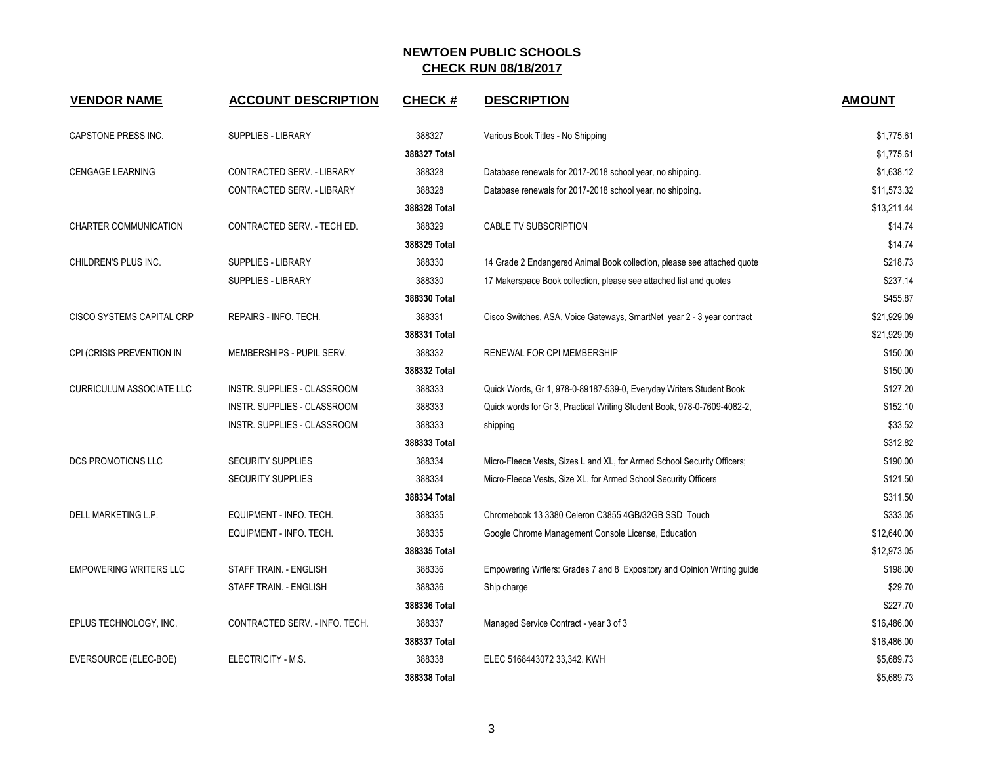| <b>VENDOR NAME</b>              | <b>ACCOUNT DESCRIPTION</b>     | <b>CHECK#</b> | <b>DESCRIPTION</b>                                                       | <b>AMOUNT</b> |
|---------------------------------|--------------------------------|---------------|--------------------------------------------------------------------------|---------------|
| CAPSTONE PRESS INC.             | <b>SUPPLIES - LIBRARY</b>      | 388327        | Various Book Titles - No Shipping                                        | \$1,775.61    |
|                                 |                                | 388327 Total  |                                                                          | \$1,775.61    |
| <b>CENGAGE LEARNING</b>         | CONTRACTED SERV. - LIBRARY     | 388328        | Database renewals for 2017-2018 school year, no shipping.                | \$1,638.12    |
|                                 | CONTRACTED SERV. - LIBRARY     | 388328        | Database renewals for 2017-2018 school year, no shipping.                | \$11,573.32   |
|                                 |                                | 388328 Total  |                                                                          | \$13,211.44   |
| CHARTER COMMUNICATION           | CONTRACTED SERV. - TECH ED.    | 388329        | CABLE TV SUBSCRIPTION                                                    | \$14.74       |
|                                 |                                | 388329 Total  |                                                                          | \$14.74       |
| CHILDREN'S PLUS INC.            | <b>SUPPLIES - LIBRARY</b>      | 388330        | 14 Grade 2 Endangered Animal Book collection, please see attached quote  | \$218.73      |
|                                 | <b>SUPPLIES - LIBRARY</b>      | 388330        | 17 Makerspace Book collection, please see attached list and quotes       | \$237.14      |
|                                 |                                | 388330 Total  |                                                                          | \$455.87      |
| CISCO SYSTEMS CAPITAL CRP       | REPAIRS - INFO. TECH.          | 388331        | Cisco Switches, ASA, Voice Gateways, SmartNet year 2 - 3 year contract   | \$21,929.09   |
|                                 |                                | 388331 Total  |                                                                          | \$21,929.09   |
| CPI (CRISIS PREVENTION IN       | MEMBERSHIPS - PUPIL SERV.      | 388332        | RENEWAL FOR CPI MEMBERSHIP                                               | \$150.00      |
|                                 |                                | 388332 Total  |                                                                          | \$150.00      |
| <b>CURRICULUM ASSOCIATE LLC</b> | INSTR. SUPPLIES - CLASSROOM    | 388333        | Quick Words, Gr 1, 978-0-89187-539-0, Everyday Writers Student Book      | \$127.20      |
|                                 | INSTR. SUPPLIES - CLASSROOM    | 388333        | Quick words for Gr 3, Practical Writing Student Book, 978-0-7609-4082-2, | \$152.10      |
|                                 | INSTR. SUPPLIES - CLASSROOM    | 388333        | shipping                                                                 | \$33.52       |
|                                 |                                | 388333 Total  |                                                                          | \$312.82      |
| <b>DCS PROMOTIONS LLC</b>       | <b>SECURITY SUPPLIES</b>       | 388334        | Micro-Fleece Vests, Sizes L and XL, for Armed School Security Officers;  | \$190.00      |
|                                 | <b>SECURITY SUPPLIES</b>       | 388334        | Micro-Fleece Vests, Size XL, for Armed School Security Officers          | \$121.50      |
|                                 |                                | 388334 Total  |                                                                          | \$311.50      |
| DELL MARKETING L.P.             | EQUIPMENT - INFO. TECH.        | 388335        | Chromebook 13 3380 Celeron C3855 4GB/32GB SSD Touch                      | \$333.05      |
|                                 | EQUIPMENT - INFO. TECH.        | 388335        | Google Chrome Management Console License, Education                      | \$12,640.00   |
|                                 |                                | 388335 Total  |                                                                          | \$12,973.05   |
| <b>EMPOWERING WRITERS LLC</b>   | STAFF TRAIN. - ENGLISH         | 388336        | Empowering Writers: Grades 7 and 8 Expository and Opinion Writing guide  | \$198.00      |
|                                 | STAFF TRAIN. - ENGLISH         | 388336        | Ship charge                                                              | \$29.70       |
|                                 |                                | 388336 Total  |                                                                          | \$227.70      |
| EPLUS TECHNOLOGY, INC.          | CONTRACTED SERV. - INFO. TECH. | 388337        | Managed Service Contract - year 3 of 3                                   | \$16,486.00   |
|                                 |                                | 388337 Total  |                                                                          | \$16,486.00   |
| EVERSOURCE (ELEC-BOE)           | ELECTRICITY - M.S.             | 388338        | ELEC 5168443072 33,342. KWH                                              | \$5,689.73    |
|                                 |                                | 388338 Total  |                                                                          | \$5,689.73    |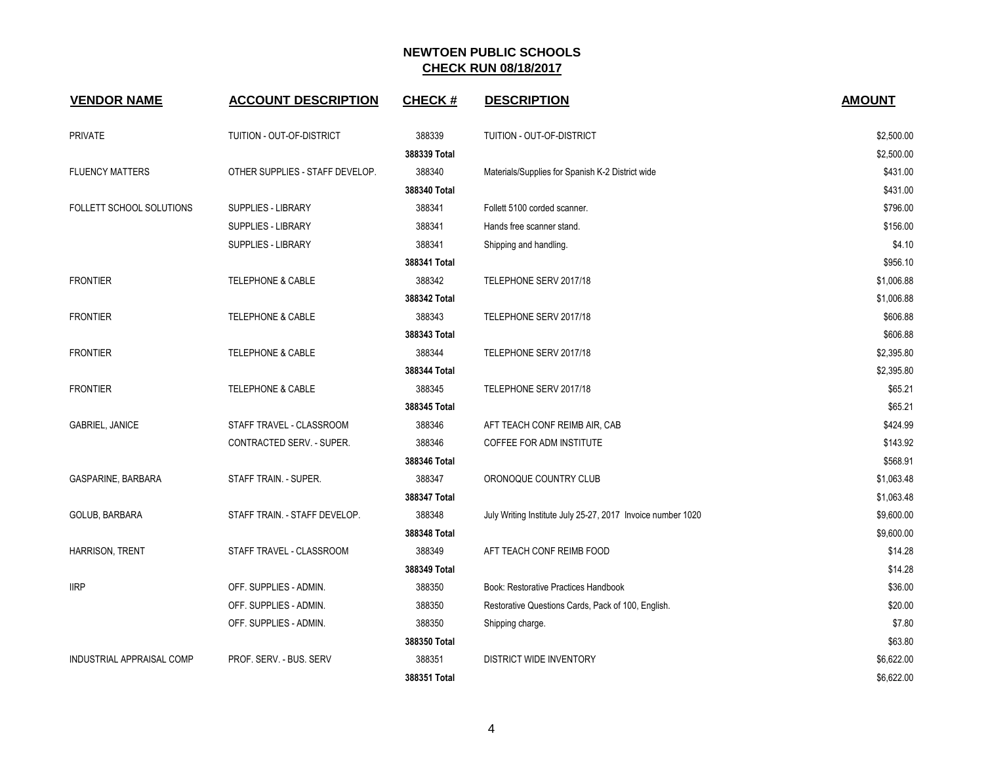| <b>VENDOR NAME</b>               | <b>ACCOUNT DESCRIPTION</b>      | <b>CHECK#</b> | <b>DESCRIPTION</b>                                          | <b>AMOUNT</b> |
|----------------------------------|---------------------------------|---------------|-------------------------------------------------------------|---------------|
| <b>PRIVATE</b>                   | TUITION - OUT-OF-DISTRICT       | 388339        | TUITION - OUT-OF-DISTRICT                                   | \$2,500.00    |
|                                  |                                 | 388339 Total  |                                                             | \$2,500.00    |
| <b>FLUENCY MATTERS</b>           | OTHER SUPPLIES - STAFF DEVELOP. | 388340        | Materials/Supplies for Spanish K-2 District wide            | \$431.00      |
|                                  |                                 | 388340 Total  |                                                             | \$431.00      |
| FOLLETT SCHOOL SOLUTIONS         | <b>SUPPLIES - LIBRARY</b>       | 388341        | Follett 5100 corded scanner.                                | \$796.00      |
|                                  | <b>SUPPLIES - LIBRARY</b>       | 388341        | Hands free scanner stand.                                   | \$156.00      |
|                                  | <b>SUPPLIES - LIBRARY</b>       | 388341        | Shipping and handling.                                      | \$4.10        |
|                                  |                                 | 388341 Total  |                                                             | \$956.10      |
| <b>FRONTIER</b>                  | <b>TELEPHONE &amp; CABLE</b>    | 388342        | TELEPHONE SERV 2017/18                                      | \$1,006.88    |
|                                  |                                 | 388342 Total  |                                                             | \$1,006.88    |
| <b>FRONTIER</b>                  | <b>TELEPHONE &amp; CABLE</b>    | 388343        | TELEPHONE SERV 2017/18                                      | \$606.88      |
|                                  |                                 | 388343 Total  |                                                             | \$606.88      |
| <b>FRONTIER</b>                  | <b>TELEPHONE &amp; CABLE</b>    | 388344        | TELEPHONE SERV 2017/18                                      | \$2,395.80    |
|                                  |                                 | 388344 Total  |                                                             | \$2,395.80    |
| <b>FRONTIER</b>                  | TELEPHONE & CABLE               | 388345        | TELEPHONE SERV 2017/18                                      | \$65.21       |
|                                  |                                 | 388345 Total  |                                                             | \$65.21       |
| <b>GABRIEL, JANICE</b>           | STAFF TRAVEL - CLASSROOM        | 388346        | AFT TEACH CONF REIMB AIR, CAB                               | \$424.99      |
|                                  | CONTRACTED SERV. - SUPER.       | 388346        | COFFEE FOR ADM INSTITUTE                                    | \$143.92      |
|                                  |                                 | 388346 Total  |                                                             | \$568.91      |
| GASPARINE, BARBARA               | STAFF TRAIN. - SUPER.           | 388347        | ORONOQUE COUNTRY CLUB                                       | \$1,063.48    |
|                                  |                                 | 388347 Total  |                                                             | \$1,063.48    |
| GOLUB, BARBARA                   | STAFF TRAIN. - STAFF DEVELOP.   | 388348        | July Writing Institute July 25-27, 2017 Invoice number 1020 | \$9,600.00    |
|                                  |                                 | 388348 Total  |                                                             | \$9,600.00    |
| HARRISON, TRENT                  | STAFF TRAVEL - CLASSROOM        | 388349        | AFT TEACH CONF REIMB FOOD                                   | \$14.28       |
|                                  |                                 | 388349 Total  |                                                             | \$14.28       |
| <b>IIRP</b>                      | OFF. SUPPLIES - ADMIN.          | 388350        | Book: Restorative Practices Handbook                        | \$36.00       |
|                                  | OFF. SUPPLIES - ADMIN.          | 388350        | Restorative Questions Cards, Pack of 100, English.          | \$20.00       |
|                                  | OFF. SUPPLIES - ADMIN.          | 388350        | Shipping charge.                                            | \$7.80        |
|                                  |                                 | 388350 Total  |                                                             | \$63.80       |
| <b>INDUSTRIAL APPRAISAL COMP</b> | PROF. SERV. - BUS. SERV         | 388351        | <b>DISTRICT WIDE INVENTORY</b>                              | \$6,622.00    |
|                                  |                                 | 388351 Total  |                                                             | \$6,622.00    |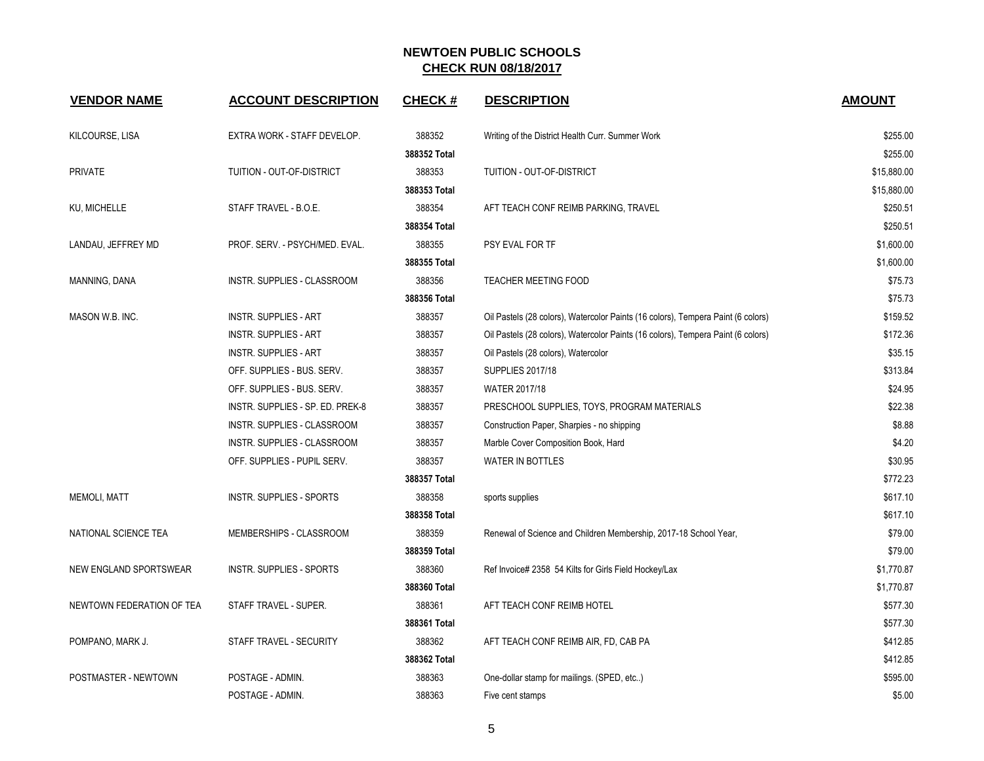| <b>VENDOR NAME</b>            | <b>ACCOUNT DESCRIPTION</b>       | <b>CHECK#</b> | <b>DESCRIPTION</b>                                                               | <b>AMOUNT</b> |
|-------------------------------|----------------------------------|---------------|----------------------------------------------------------------------------------|---------------|
| KILCOURSE, LISA               | EXTRA WORK - STAFF DEVELOP.      | 388352        | Writing of the District Health Curr. Summer Work                                 | \$255.00      |
|                               |                                  | 388352 Total  |                                                                                  | \$255.00      |
| <b>PRIVATE</b>                | TUITION - OUT-OF-DISTRICT        | 388353        | TUITION - OUT-OF-DISTRICT                                                        | \$15,880.00   |
|                               |                                  | 388353 Total  |                                                                                  | \$15,880.00   |
| KU, MICHELLE                  | STAFF TRAVEL - B.O.E.            | 388354        | AFT TEACH CONF REIMB PARKING, TRAVEL                                             | \$250.51      |
|                               |                                  | 388354 Total  |                                                                                  | \$250.51      |
| LANDAU, JEFFREY MD            | PROF. SERV. - PSYCH/MED. EVAL.   | 388355        | PSY EVAL FOR TF                                                                  | \$1,600.00    |
|                               |                                  | 388355 Total  |                                                                                  | \$1,600.00    |
| MANNING, DANA                 | INSTR. SUPPLIES - CLASSROOM      | 388356        | TEACHER MEETING FOOD                                                             | \$75.73       |
|                               |                                  | 388356 Total  |                                                                                  | \$75.73       |
| MASON W.B. INC.               | <b>INSTR. SUPPLIES - ART</b>     | 388357        | Oil Pastels (28 colors), Watercolor Paints (16 colors), Tempera Paint (6 colors) | \$159.52      |
|                               | <b>INSTR. SUPPLIES - ART</b>     | 388357        | Oil Pastels (28 colors), Watercolor Paints (16 colors), Tempera Paint (6 colors) | \$172.36      |
|                               | <b>INSTR. SUPPLIES - ART</b>     | 388357        | Oil Pastels (28 colors), Watercolor                                              | \$35.15       |
|                               | OFF. SUPPLIES - BUS. SERV.       | 388357        | <b>SUPPLIES 2017/18</b>                                                          | \$313.84      |
|                               | OFF. SUPPLIES - BUS. SERV.       | 388357        | <b>WATER 2017/18</b>                                                             | \$24.95       |
|                               | INSTR. SUPPLIES - SP. ED. PREK-8 | 388357        | PRESCHOOL SUPPLIES, TOYS, PROGRAM MATERIALS                                      | \$22.38       |
|                               | INSTR. SUPPLIES - CLASSROOM      | 388357        | Construction Paper, Sharpies - no shipping                                       | \$8.88        |
|                               | INSTR. SUPPLIES - CLASSROOM      | 388357        | Marble Cover Composition Book, Hard                                              | \$4.20        |
|                               | OFF. SUPPLIES - PUPIL SERV.      | 388357        | <b>WATER IN BOTTLES</b>                                                          | \$30.95       |
|                               |                                  | 388357 Total  |                                                                                  | \$772.23      |
| <b>MEMOLI, MATT</b>           | INSTR. SUPPLIES - SPORTS         | 388358        | sports supplies                                                                  | \$617.10      |
|                               |                                  | 388358 Total  |                                                                                  | \$617.10      |
| NATIONAL SCIENCE TEA          | MEMBERSHIPS - CLASSROOM          | 388359        | Renewal of Science and Children Membership, 2017-18 School Year,                 | \$79.00       |
|                               |                                  | 388359 Total  |                                                                                  | \$79.00       |
| <b>NEW ENGLAND SPORTSWEAR</b> | <b>INSTR. SUPPLIES - SPORTS</b>  | 388360        | Ref Invoice# 2358 54 Kilts for Girls Field Hockey/Lax                            | \$1,770.87    |
|                               |                                  | 388360 Total  |                                                                                  | \$1,770.87    |
| NEWTOWN FEDERATION OF TEA     | STAFF TRAVEL - SUPER.            | 388361        | AFT TEACH CONF REIMB HOTEL                                                       | \$577.30      |
|                               |                                  | 388361 Total  |                                                                                  | \$577.30      |
| POMPANO, MARK J.              | STAFF TRAVEL - SECURITY          | 388362        | AFT TEACH CONF REIMB AIR, FD, CAB PA                                             | \$412.85      |
|                               |                                  | 388362 Total  |                                                                                  | \$412.85      |
| POSTMASTER - NEWTOWN          | POSTAGE - ADMIN.                 | 388363        | One-dollar stamp for mailings. (SPED, etc)                                       | \$595.00      |
|                               | POSTAGE - ADMIN.                 | 388363        | Five cent stamps                                                                 | \$5.00        |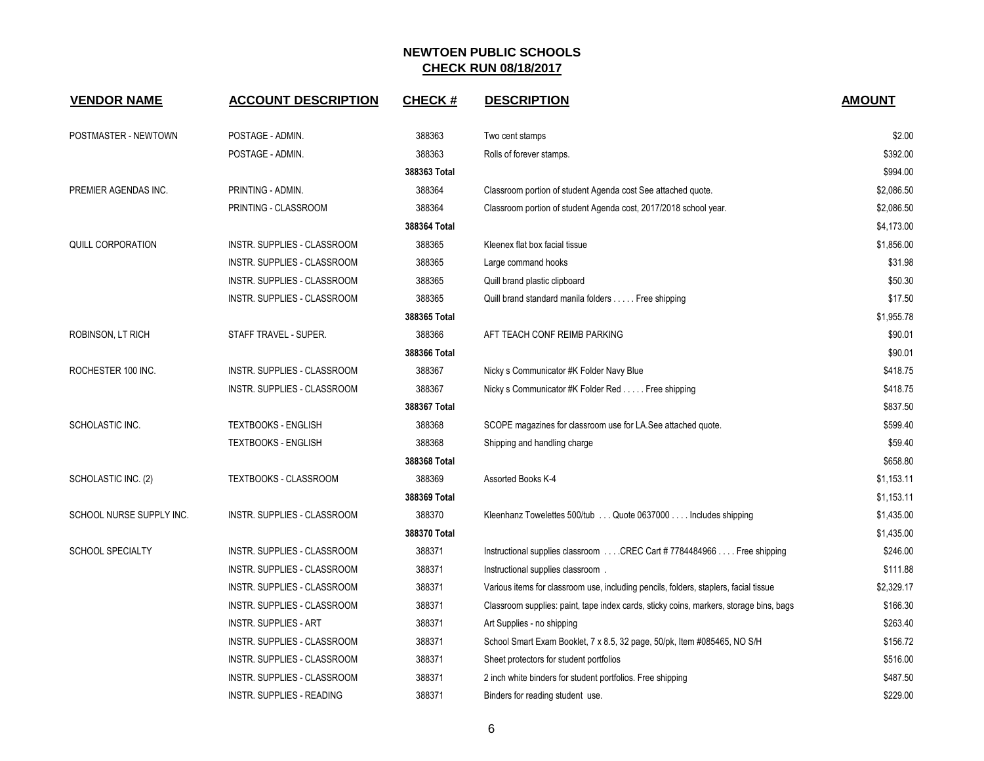| <b>VENDOR NAME</b>       | <b>ACCOUNT DESCRIPTION</b>         | <b>CHECK#</b> | <b>DESCRIPTION</b>                                                                     | <b>AMOUNT</b> |
|--------------------------|------------------------------------|---------------|----------------------------------------------------------------------------------------|---------------|
| POSTMASTER - NEWTOWN     | POSTAGE - ADMIN.                   | 388363        | Two cent stamps                                                                        | \$2.00        |
|                          | POSTAGE - ADMIN.                   | 388363        | Rolls of forever stamps.                                                               | \$392.00      |
|                          |                                    | 388363 Total  |                                                                                        | \$994.00      |
| PREMIER AGENDAS INC.     | PRINTING - ADMIN.                  | 388364        | Classroom portion of student Agenda cost See attached quote.                           | \$2,086.50    |
|                          | PRINTING - CLASSROOM               | 388364        | Classroom portion of student Agenda cost, 2017/2018 school year.                       | \$2,086.50    |
|                          |                                    | 388364 Total  |                                                                                        | \$4,173.00    |
| QUILL CORPORATION        | INSTR. SUPPLIES - CLASSROOM        | 388365        | Kleenex flat box facial tissue                                                         | \$1,856.00    |
|                          | INSTR. SUPPLIES - CLASSROOM        | 388365        | Large command hooks                                                                    | \$31.98       |
|                          | INSTR. SUPPLIES - CLASSROOM        | 388365        | Quill brand plastic clipboard                                                          | \$50.30       |
|                          | INSTR. SUPPLIES - CLASSROOM        | 388365        | Quill brand standard manila folders Free shipping                                      | \$17.50       |
|                          |                                    | 388365 Total  |                                                                                        | \$1,955.78    |
| ROBINSON, LT RICH        | STAFF TRAVEL - SUPER.              | 388366        | AFT TEACH CONF REIMB PARKING                                                           | \$90.01       |
|                          |                                    | 388366 Total  |                                                                                        | \$90.01       |
| ROCHESTER 100 INC.       | <b>INSTR. SUPPLIES - CLASSROOM</b> | 388367        | Nicky s Communicator #K Folder Navy Blue                                               | \$418.75      |
|                          | INSTR. SUPPLIES - CLASSROOM        | 388367        | Nicky s Communicator #K Folder Red Free shipping                                       | \$418.75      |
|                          |                                    | 388367 Total  |                                                                                        | \$837.50      |
| SCHOLASTIC INC.          | <b>TEXTBOOKS - ENGLISH</b>         | 388368        | SCOPE magazines for classroom use for LA.See attached quote.                           | \$599.40      |
|                          | <b>TEXTBOOKS - ENGLISH</b>         | 388368        | Shipping and handling charge                                                           | \$59.40       |
|                          |                                    | 388368 Total  |                                                                                        | \$658.80      |
| SCHOLASTIC INC. (2)      | TEXTBOOKS - CLASSROOM              | 388369        | Assorted Books K-4                                                                     | \$1,153.11    |
|                          |                                    | 388369 Total  |                                                                                        | \$1,153.11    |
| SCHOOL NURSE SUPPLY INC. | <b>INSTR. SUPPLIES - CLASSROOM</b> | 388370        | Kleenhanz Towelettes 500/tub Quote 0637000 Includes shipping                           | \$1,435.00    |
|                          |                                    | 388370 Total  |                                                                                        | \$1,435.00    |
| <b>SCHOOL SPECIALTY</b>  | INSTR. SUPPLIES - CLASSROOM        | 388371        | Instructional supplies classroom  CREC Cart #7784484966  Free shipping                 | \$246.00      |
|                          | INSTR. SUPPLIES - CLASSROOM        | 388371        | Instructional supplies classroom.                                                      | \$111.88      |
|                          | INSTR. SUPPLIES - CLASSROOM        | 388371        | Various items for classroom use, including pencils, folders, staplers, facial tissue   | \$2,329.17    |
|                          | INSTR. SUPPLIES - CLASSROOM        | 388371        | Classroom supplies: paint, tape index cards, sticky coins, markers, storage bins, bags | \$166.30      |
|                          | <b>INSTR. SUPPLIES - ART</b>       | 388371        | Art Supplies - no shipping                                                             | \$263.40      |
|                          | INSTR. SUPPLIES - CLASSROOM        | 388371        | School Smart Exam Booklet, 7 x 8.5, 32 page, 50/pk, Item #085465, NO S/H               | \$156.72      |
|                          | <b>INSTR. SUPPLIES - CLASSROOM</b> | 388371        | Sheet protectors for student portfolios                                                | \$516.00      |
|                          | INSTR. SUPPLIES - CLASSROOM        | 388371        | 2 inch white binders for student portfolios. Free shipping                             | \$487.50      |
|                          | <b>INSTR. SUPPLIES - READING</b>   | 388371        | Binders for reading student use.                                                       | \$229.00      |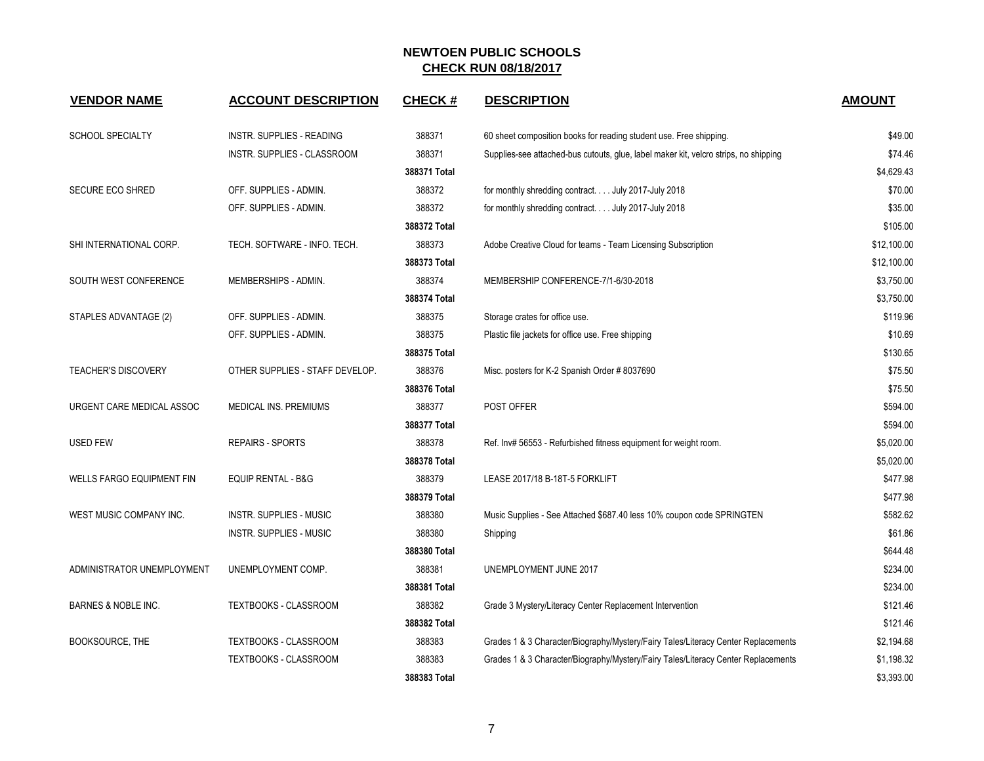| <b>VENDOR NAME</b>               | <b>ACCOUNT DESCRIPTION</b>      | <b>CHECK#</b> | <b>DESCRIPTION</b>                                                                   | <b>AMOUNT</b> |
|----------------------------------|---------------------------------|---------------|--------------------------------------------------------------------------------------|---------------|
| <b>SCHOOL SPECIALTY</b>          | INSTR. SUPPLIES - READING       | 388371        | 60 sheet composition books for reading student use. Free shipping.                   | \$49.00       |
|                                  | INSTR. SUPPLIES - CLASSROOM     | 388371        | Supplies-see attached-bus cutouts, glue, label maker kit, velcro strips, no shipping | \$74.46       |
|                                  |                                 | 388371 Total  |                                                                                      | \$4,629.43    |
| <b>SECURE ECO SHRED</b>          | OFF. SUPPLIES - ADMIN.          | 388372        | for monthly shredding contract July 2017-July 2018                                   | \$70.00       |
|                                  | OFF. SUPPLIES - ADMIN.          | 388372        | for monthly shredding contract. July 2017-July 2018                                  | \$35.00       |
|                                  |                                 | 388372 Total  |                                                                                      | \$105.00      |
| SHI INTERNATIONAL CORP.          | TECH. SOFTWARE - INFO. TECH.    | 388373        | Adobe Creative Cloud for teams - Team Licensing Subscription                         | \$12,100.00   |
|                                  |                                 | 388373 Total  |                                                                                      | \$12,100.00   |
| SOUTH WEST CONFERENCE            | MEMBERSHIPS - ADMIN.            | 388374        | MEMBERSHIP CONFERENCE-7/1-6/30-2018                                                  | \$3,750.00    |
|                                  |                                 | 388374 Total  |                                                                                      | \$3,750.00    |
| STAPLES ADVANTAGE (2)            | OFF. SUPPLIES - ADMIN.          | 388375        | Storage crates for office use.                                                       | \$119.96      |
|                                  | OFF. SUPPLIES - ADMIN.          | 388375        | Plastic file jackets for office use. Free shipping                                   | \$10.69       |
|                                  |                                 | 388375 Total  |                                                                                      | \$130.65      |
| <b>TEACHER'S DISCOVERY</b>       | OTHER SUPPLIES - STAFF DEVELOP. | 388376        | Misc. posters for K-2 Spanish Order # 8037690                                        | \$75.50       |
|                                  |                                 | 388376 Total  |                                                                                      | \$75.50       |
| URGENT CARE MEDICAL ASSOC        | MEDICAL INS. PREMIUMS           | 388377        | POST OFFER                                                                           | \$594.00      |
|                                  |                                 | 388377 Total  |                                                                                      | \$594.00      |
| <b>USED FEW</b>                  | <b>REPAIRS - SPORTS</b>         | 388378        | Ref. Inv# 56553 - Refurbished fitness equipment for weight room.                     | \$5,020.00    |
|                                  |                                 | 388378 Total  |                                                                                      | \$5,020.00    |
| <b>WELLS FARGO EQUIPMENT FIN</b> | <b>EQUIP RENTAL - B&amp;G</b>   | 388379        | LEASE 2017/18 B-18T-5 FORKLIFT                                                       | \$477.98      |
|                                  |                                 | 388379 Total  |                                                                                      | \$477.98      |
| WEST MUSIC COMPANY INC.          | INSTR. SUPPLIES - MUSIC         | 388380        | Music Supplies - See Attached \$687.40 less 10% coupon code SPRINGTEN                | \$582.62      |
|                                  | INSTR. SUPPLIES - MUSIC         | 388380        | Shipping                                                                             | \$61.86       |
|                                  |                                 | 388380 Total  |                                                                                      | \$644.48      |
| ADMINISTRATOR UNEMPLOYMENT       | UNEMPLOYMENT COMP.              | 388381        | UNEMPLOYMENT JUNE 2017                                                               | \$234.00      |
|                                  |                                 | 388381 Total  |                                                                                      | \$234.00      |
| BARNES & NOBLE INC.              | <b>TEXTBOOKS - CLASSROOM</b>    | 388382        | Grade 3 Mystery/Literacy Center Replacement Intervention                             | \$121.46      |
|                                  |                                 | 388382 Total  |                                                                                      | \$121.46      |
| BOOKSOURCE, THE                  | TEXTBOOKS - CLASSROOM           | 388383        | Grades 1 & 3 Character/Biography/Mystery/Fairy Tales/Literacy Center Replacements    | \$2,194.68    |
|                                  | <b>TEXTBOOKS - CLASSROOM</b>    | 388383        | Grades 1 & 3 Character/Biography/Mystery/Fairy Tales/Literacy Center Replacements    | \$1,198.32    |
|                                  |                                 | 388383 Total  |                                                                                      | \$3,393.00    |